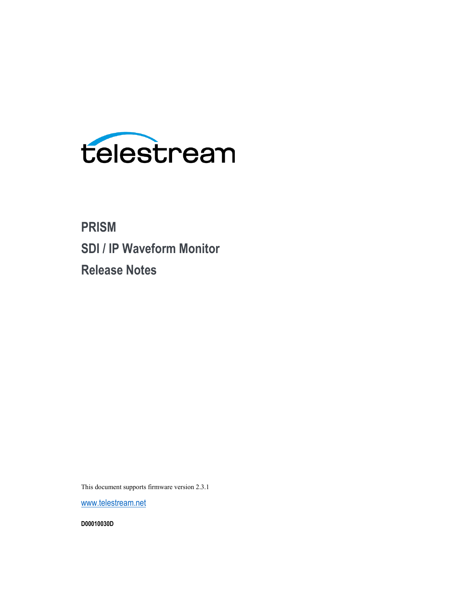

# **PRISM SDI / IP Waveform Monitor Release Notes**

This document supports firmware version 2.3.1

[www.telestream.net](http://www.telestream.net/)

**D00010030D**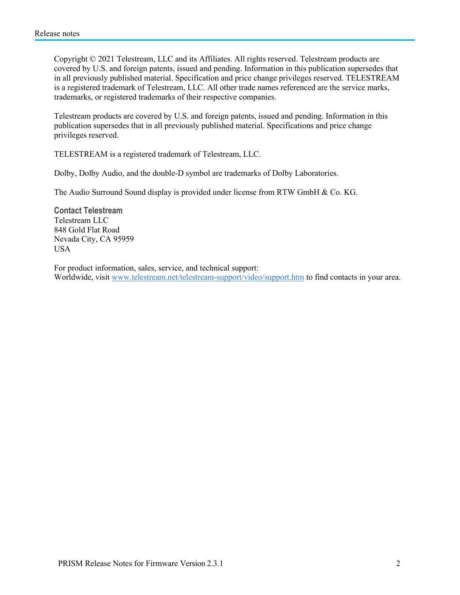Copyright © 2021 Telestream, LLC and its Affiliates. All rights reserved. Telestream products are covered by U.S. and foreign patents, issued and pending. Information in this publication supersedes that in all previously published material. Specification and price change privileges reserved. TELESTREAM is a registered trademark of Telestream, LLC. All other trade names referenced are the service marks, trademarks, or registered trademarks of their respective companies.

Telestream products are covered by U.S. and foreign patents, issued and pending. Information in this publication supersedes that in all previously published material. Specifications and price change privileges reserved.

TELESTREAM is a registered trademark of Telestream, LLC.

Dolby, Dolby Audio, and the double-D symbol are trademarks of Dolby Laboratories.

The Audio Surround Sound display is provided under license from RTW GmbH & Co. KG.

**Contact Telestream** Telestream LLC 848 Gold Flat Road Nevada City, CA 95959 USA

For product information, sales, service, and technical support: Worldwide, visit [www.telestream.net/telestream-support/video/support.htm](http://www.telestream.net/telestream-support/video/support.htm) to find contacts in your area.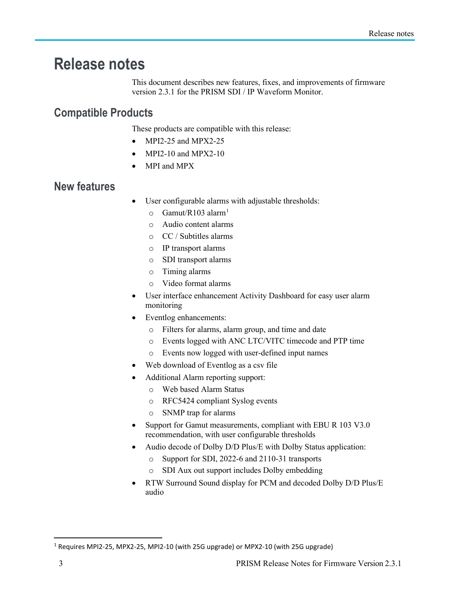## **Release notes**

This document describes new features, fixes, and improvements of firmware version 2.3.1 for the PRISM SDI / IP Waveform Monitor.

#### **Compatible Products**

These products are compatible with this release:

- MPI2-25 and MPX2-25
- MPI2-10 and MPX2-10
- MPI and MPX

#### **New features**

- User configurable alarms with adjustable thresholds:
	- $\circ$  Gamut/R[1](#page-2-0)03 alarm<sup>1</sup>
	- o Audio content alarms
	- o CC / Subtitles alarms
	- o IP transport alarms
	- o SDI transport alarms
	- o Timing alarms
	- Video format alarms
- User interface enhancement Activity Dashboard for easy user alarm monitoring
- Eventlog enhancements:
	- o Filters for alarms, alarm group, and time and date
	- o Events logged with ANC LTC/VITC timecode and PTP time
	- o Events now logged with user-defined input names
- Web download of Eventlog as a csv file
- Additional Alarm reporting support:
	- o Web based Alarm Status
	- o RFC5424 compliant Syslog events
	- o SNMP trap for alarms
- Support for Gamut measurements, compliant with EBU R 103 V3.0 recommendation, with user configurable thresholds
- Audio decode of Dolby D/D Plus/E with Dolby Status application:
	- o Support for SDI, 2022-6 and 2110-31 transports
	- o SDI Aux out support includes Dolby embedding
- RTW Surround Sound display for PCM and decoded Dolby D/D Plus/E audio

<span id="page-2-0"></span><sup>1</sup> Requires MPI2-25, MPX2-25, MPI2-10 (with 25G upgrade) or MPX2-10 (with 25G upgrade)